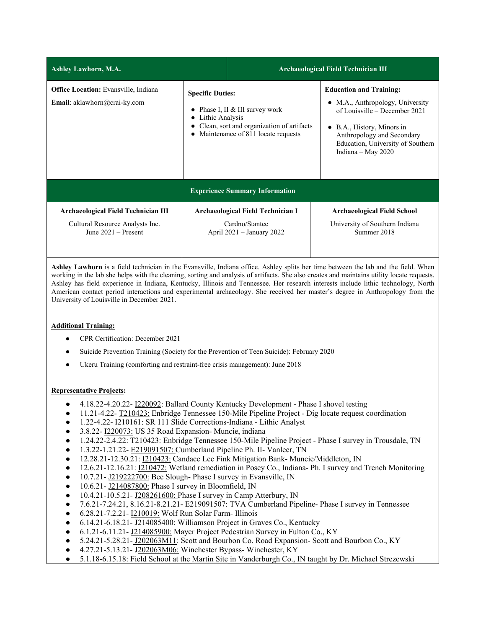| <b>Ashley Lawhorn, M.A.</b>                                                                     |                                                                                                                                                                | <b>Archaeological Field Technician III</b>                                                |                                                                                     |                                                                                                                                                                                                                              |  |
|-------------------------------------------------------------------------------------------------|----------------------------------------------------------------------------------------------------------------------------------------------------------------|-------------------------------------------------------------------------------------------|-------------------------------------------------------------------------------------|------------------------------------------------------------------------------------------------------------------------------------------------------------------------------------------------------------------------------|--|
| <b>Office Location:</b> Evansville, Indiana<br><b>Email</b> : aklawhorn@crai-ky.com             | <b>Specific Duties:</b><br>Phase I, II & III survey work<br>Lithic Analysis<br>Clean, sort and organization of artifacts<br>Maintenance of 811 locate requests |                                                                                           |                                                                                     | <b>Education and Training:</b><br>• M.A., Anthropology, University<br>of Louisville – December 2021<br>• B.A., History, Minors in<br>Anthropology and Secondary<br>Education, University of Southern<br>Indiana - May $2020$ |  |
| <b>Experience Summary Information</b>                                                           |                                                                                                                                                                |                                                                                           |                                                                                     |                                                                                                                                                                                                                              |  |
| Archaeological Field Technician III<br>Cultural Resource Analysts Inc.<br>June $2021 -$ Present |                                                                                                                                                                | <b>Archaeological Field Technician I</b><br>Cardno/Stantec<br>April $2021 - January 2022$ | <b>Archaeological Field School</b><br>University of Southern Indiana<br>Summer 2018 |                                                                                                                                                                                                                              |  |

**Ashley Lawhorn** is a field technician in the Evansville, Indiana office. Ashley splits her time between the lab and the field. When working in the lab she helps with the cleaning, sorting and analysis of artifacts. She also creates and maintains utility locate requests. Ashley has field experience in Indiana, Kentucky, Illinois and Tennessee. Her research interests include lithic technology, North American contact period interactions and experimental archaeology. She received her master's degree in Anthropology from the University of Louisville in December 2021.

## **Additional Training:**

- CPR Certification: December 2021
- Suicide Prevention Training (Society for the Prevention of Teen Suicide): February 2020
- Ukeru Training (comforting and restraint-free crisis management): June 2018

## **Representative Projects:**

- 4.18.22-4.20.22- I220092: Ballard County Kentucky Development Phase I shovel testing
- 11.21-4.22- T210423: Enbridge Tennessee 150-Mile Pipeline Project Dig locate request coordination
- 1.22-4.22- **I210161:** SR 111 Slide Corrections-Indiana Lithic Analyst
- 3.8.22- I220073: US 35 Road Expansion- Muncie, indiana
- 1.24.22-2.4.22: T210423: Enbridge Tennessee 150-Mile Pipeline Project Phase I survey in Trousdale, TN
- 1.3.22-1.21.22- E219091507: Cumberland Pipeline Ph. II- Vanleer, TN
- 12.28.21-12.30.21: I210423: Candace Lee Fink Mitigation Bank- Muncie/Middleton, IN
- 12.6.21-12.16.21: I210472: Wetland remediation in Posey Co., Indiana- Ph. I survey and Trench Monitoring
- 10.7.21- J219222700: Bee Slough- Phase I survey in Evansville, IN
- 10.6.21- J214087800: Phase I survey in Bloomfield, IN
- 10.4.21-10.5.21- J208261600: Phase I survey in Camp Atterbury, IN
- 7.6.21-7.24.21, 8.16.21-8.21.21- E219091507: TVA Cumberland Pipeline- Phase I survey in Tennessee
- 6.28.21-7.2.21- I210019: Wolf Run Solar Farm- Illinois
- 6.14.21-6.18.21- J214085400: Williamson Project in Graves Co., Kentucky
- 6.1.21-6.11.21- J214085900: Mayer Project Pedestrian Survey in Fulton Co., KY
- 5.24.21-5.28.21- J202063M11: Scott and Bourbon Co. Road Expansion- Scott and Bourbon Co., KY
- 4.27.21-5.13.21- J202063M06: Winchester Bypass- Winchester, KY
- 5.1.18-6.15.18: Field School at the Martin Site in Vanderburgh Co., IN taught by Dr. Michael Strezewski